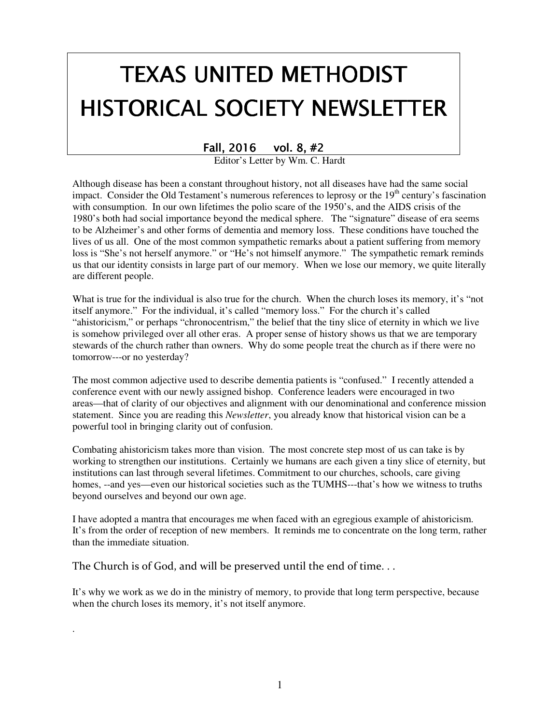# TEXAS UNITED METHODIST HISTORICAL SOCIETY NEWSLETTER

## Fall, 2016 vol. 8, #2

Editor's Letter by Wm. C. Hardt

Although disease has been a constant throughout history, not all diseases have had the same social impact. Consider the Old Testament's numerous references to leprosy or the  $19<sup>th</sup>$  century's fascination with consumption. In our own lifetimes the polio scare of the 1950's, and the AIDS crisis of the 1980's both had social importance beyond the medical sphere. The "signature" disease of era seems to be Alzheimer's and other forms of dementia and memory loss. These conditions have touched the lives of us all. One of the most common sympathetic remarks about a patient suffering from memory loss is "She's not herself anymore." or "He's not himself anymore." The sympathetic remark reminds us that our identity consists in large part of our memory. When we lose our memory, we quite literally are different people.

What is true for the individual is also true for the church. When the church loses its memory, it's "not itself anymore." For the individual, it's called "memory loss." For the church it's called "ahistoricism," or perhaps "chronocentrism," the belief that the tiny slice of eternity in which we live is somehow privileged over all other eras. A proper sense of history shows us that we are temporary stewards of the church rather than owners. Why do some people treat the church as if there were no tomorrow---or no yesterday?

The most common adjective used to describe dementia patients is "confused." I recently attended a conference event with our newly assigned bishop. Conference leaders were encouraged in two areas—that of clarity of our objectives and alignment with our denominational and conference mission statement. Since you are reading this *Newsletter*, you already know that historical vision can be a powerful tool in bringing clarity out of confusion.

Combating ahistoricism takes more than vision. The most concrete step most of us can take is by working to strengthen our institutions. Certainly we humans are each given a tiny slice of eternity, but institutions can last through several lifetimes. Commitment to our churches, schools, care giving homes, --and yes—even our historical societies such as the TUMHS---that's how we witness to truths beyond ourselves and beyond our own age.

I have adopted a mantra that encourages me when faced with an egregious example of ahistoricism. It's from the order of reception of new members. It reminds me to concentrate on the long term, rather than the immediate situation.

The Church is of God, and will be preserved until the end of time. . .

.

It's why we work as we do in the ministry of memory, to provide that long term perspective, because when the church loses its memory, it's not itself anymore.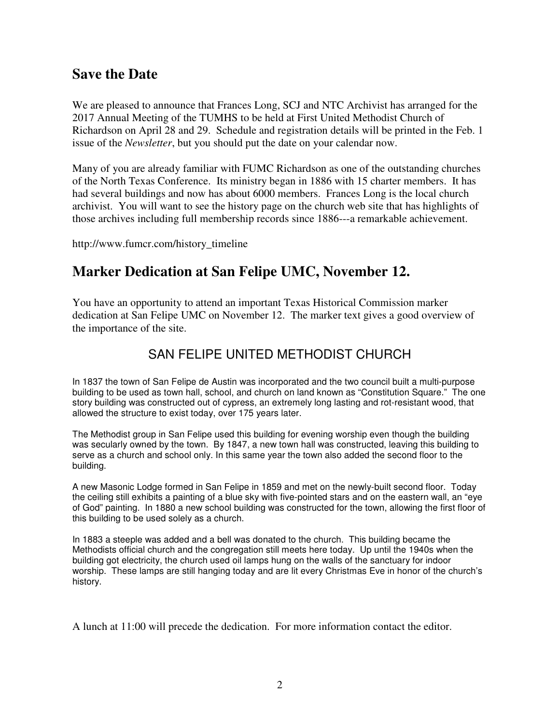## **Save the Date**

We are pleased to announce that Frances Long, SCJ and NTC Archivist has arranged for the 2017 Annual Meeting of the TUMHS to be held at First United Methodist Church of Richardson on April 28 and 29. Schedule and registration details will be printed in the Feb. 1 issue of the *Newsletter*, but you should put the date on your calendar now.

Many of you are already familiar with FUMC Richardson as one of the outstanding churches of the North Texas Conference. Its ministry began in 1886 with 15 charter members. It has had several buildings and now has about 6000 members. Frances Long is the local church archivist. You will want to see the history page on the church web site that has highlights of those archives including full membership records since 1886---a remarkable achievement.

http://www.fumcr.com/history\_timeline

## **Marker Dedication at San Felipe UMC, November 12.**

You have an opportunity to attend an important Texas Historical Commission marker dedication at San Felipe UMC on November 12. The marker text gives a good overview of the importance of the site.

## SAN FELIPE UNITED METHODIST CHURCH

In 1837 the town of San Felipe de Austin was incorporated and the two council built a multi-purpose building to be used as town hall, school, and church on land known as "Constitution Square." The one story building was constructed out of cypress, an extremely long lasting and rot-resistant wood, that allowed the structure to exist today, over 175 years later.

The Methodist group in San Felipe used this building for evening worship even though the building was secularly owned by the town. By 1847, a new town hall was constructed, leaving this building to serve as a church and school only. In this same year the town also added the second floor to the building.

A new Masonic Lodge formed in San Felipe in 1859 and met on the newly-built second floor. Today the ceiling still exhibits a painting of a blue sky with five-pointed stars and on the eastern wall, an "eye of God" painting. In 1880 a new school building was constructed for the town, allowing the first floor of this building to be used solely as a church.

In 1883 a steeple was added and a bell was donated to the church. This building became the Methodists official church and the congregation still meets here today. Up until the 1940s when the building got electricity, the church used oil lamps hung on the walls of the sanctuary for indoor worship. These lamps are still hanging today and are lit every Christmas Eve in honor of the church's history.

A lunch at 11:00 will precede the dedication. For more information contact the editor.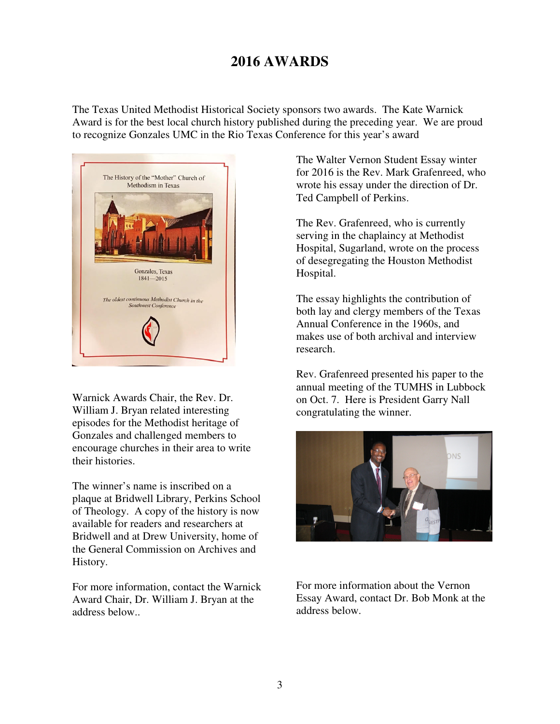## **2016 AWARDS**

The Texas United Methodist Historical Society sponsors two awards. The Kate Warnick Award is for the best local church history published during the preceding year. We are proud to recognize Gonzales UMC in the Rio Texas Conference for this year's award



Warnick Awards Chair, the Rev. Dr. William J. Bryan related interesting episodes for the Methodist heritage of Gonzales and challenged members to encourage churches in their area to write their histories.

The winner's name is inscribed on a plaque at Bridwell Library, Perkins School of Theology. A copy of the history is now available for readers and researchers at Bridwell and at Drew University, home of the General Commission on Archives and History.

For more information, contact the Warnick Award Chair, Dr. William J. Bryan at the address below..

The Walter Vernon Student Essay winter for 2016 is the Rev. Mark Grafenreed, who wrote his essay under the direction of Dr. Ted Campbell of Perkins.

The Rev. Grafenreed, who is currently serving in the chaplaincy at Methodist Hospital, Sugarland, wrote on the process of desegregating the Houston Methodist Hospital.

The essay highlights the contribution of both lay and clergy members of the Texas Annual Conference in the 1960s, and makes use of both archival and interview research.

Rev. Grafenreed presented his paper to the annual meeting of the TUMHS in Lubbock on Oct. 7. Here is President Garry Nall congratulating the winner.



For more information about the Vernon Essay Award, contact Dr. Bob Monk at the address below.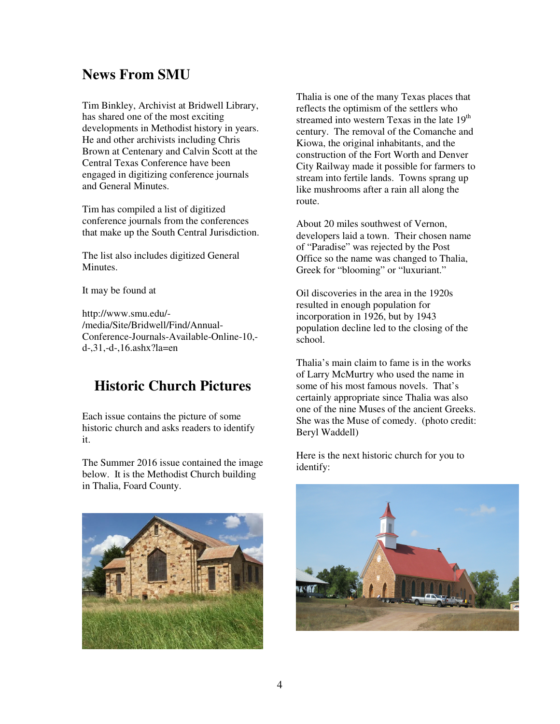## **News From SMU**

Tim Binkley, Archivist at Bridwell Library, has shared one of the most exciting developments in Methodist history in years. He and other archivists including Chris Brown at Centenary and Calvin Scott at the Central Texas Conference have been engaged in digitizing conference journals and General Minutes.

Tim has compiled a list of digitized conference journals from the conferences that make up the South Central Jurisdiction.

The list also includes digitized General **Minutes** 

It may be found at

http://www.smu.edu/- /media/Site/Bridwell/Find/Annual-Conference-Journals-Available-Online-10, d-,31,-d-,16.ashx?la=en

## **Historic Church Pictures**

Each issue contains the picture of some historic church and asks readers to identify it.

The Summer 2016 issue contained the image below. It is the Methodist Church building in Thalia, Foard County.

Thalia is one of the many Texas places that reflects the optimism of the settlers who streamed into western Texas in the late 19<sup>th</sup> century. The removal of the Comanche and Kiowa, the original inhabitants, and the construction of the Fort Worth and Denver City Railway made it possible for farmers to stream into fertile lands. Towns sprang up like mushrooms after a rain all along the route.

About 20 miles southwest of Vernon, developers laid a town. Their chosen name of "Paradise" was rejected by the Post Office so the name was changed to Thalia, Greek for "blooming" or "luxuriant."

Oil discoveries in the area in the 1920s resulted in enough population for incorporation in 1926, but by 1943 population decline led to the closing of the school.

Thalia's main claim to fame is in the works of Larry McMurtry who used the name in some of his most famous novels. That's certainly appropriate since Thalia was also one of the nine Muses of the ancient Greeks. She was the Muse of comedy. (photo credit: Beryl Waddell)

Here is the next historic church for you to identify:



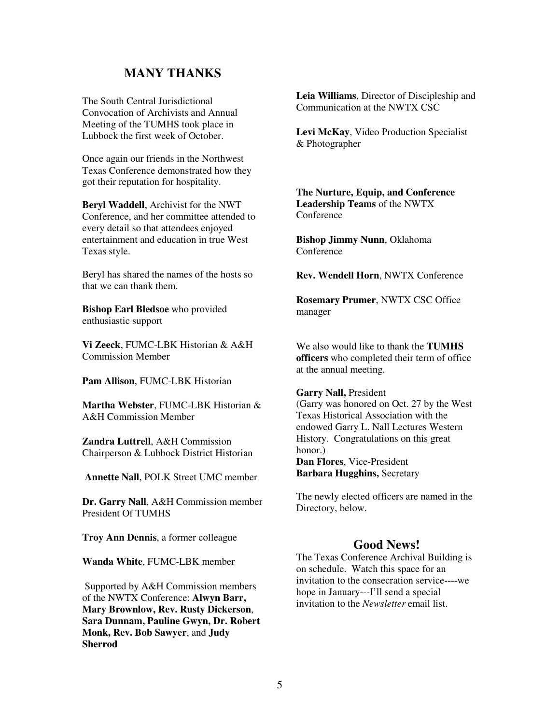#### **MANY THANKS**

The South Central Jurisdictional Convocation of Archivists and Annual Meeting of the TUMHS took place in Lubbock the first week of October.

Once again our friends in the Northwest Texas Conference demonstrated how they got their reputation for hospitality.

**Beryl Waddell**, Archivist for the NWT Conference, and her committee attended to every detail so that attendees enjoyed entertainment and education in true West Texas style.

Beryl has shared the names of the hosts so that we can thank them.

**Bishop Earl Bledsoe** who provided enthusiastic support

**Vi Zeeck**, FUMC-LBK Historian & A&H Commission Member

**Pam Allison**, FUMC-LBK Historian

**Martha Webster**, FUMC-LBK Historian & A&H Commission Member

**Zandra Luttrell**, A&H Commission Chairperson & Lubbock District Historian

**Annette Nall**, POLK Street UMC member

**Dr. Garry Nall**, A&H Commission member President Of TUMHS

**Troy Ann Dennis**, a former colleague

**Wanda White**, FUMC-LBK member

 Supported by A&H Commission members of the NWTX Conference: **Alwyn Barr, Mary Brownlow, Rev. Rusty Dickerson**, **Sara Dunnam, Pauline Gwyn, Dr. Robert Monk, Rev. Bob Sawyer**, and **Judy Sherrod**

**Leia Williams**, Director of Discipleship and Communication at the NWTX CSC

**Levi McKay**, Video Production Specialist & Photographer

**The Nurture, Equip, and Conference Leadership Teams** of the NWTX **Conference** 

**Bishop Jimmy Nunn**, Oklahoma Conference

**Rev. Wendell Horn**, NWTX Conference

**Rosemary Prumer**, NWTX CSC Office manager

We also would like to thank the **TUMHS officers** who completed their term of office at the annual meeting.

#### **Garry Nall,** President

(Garry was honored on Oct. 27 by the West Texas Historical Association with the endowed Garry L. Nall Lectures Western History. Congratulations on this great honor.) **Dan Flores**, Vice-President **Barbara Hugghins,** Secretary

The newly elected officers are named in the Directory, below.

#### **Good News!**

The Texas Conference Archival Building is on schedule. Watch this space for an invitation to the consecration service----we hope in January---I'll send a special invitation to the *Newsletter* email list.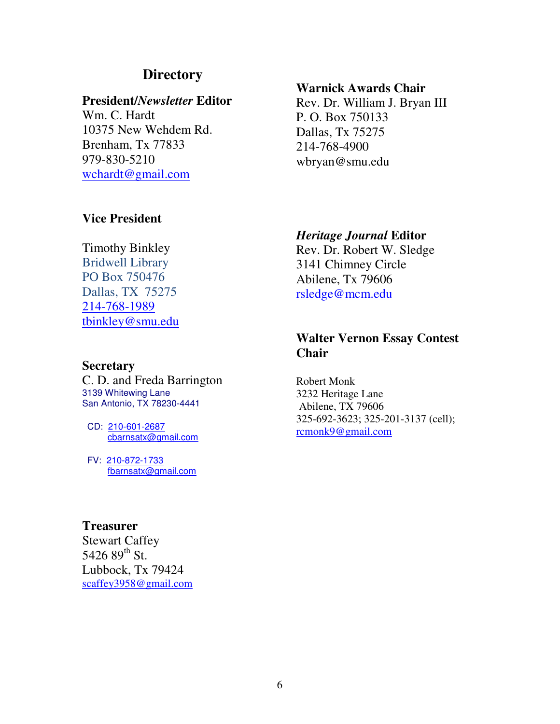## **Directory**

#### **President/***Newsletter* **Editor**

Wm. C. Hardt 10375 New Wehdem Rd. Brenham, Tx 77833 979-830-5210 wchardt@gmail.com

#### **Warnick Awards Chair**

Rev. Dr. William J. Bryan III P. O. Box 750133 Dallas, Tx 75275 214-768-4900 wbryan@smu.edu

#### **Vice President**

#### Timothy Binkley

Bridwell Library PO Box 750476 Dallas, TX 75275 214-768-1989 tbinkley@smu.edu

#### **Secretary**

C. D. and Freda Barrington 3139 Whitewing Lane San Antonio, TX 78230-4441

 CD: 210-601-2687 cbarnsatx@gmail.com

 FV: 210-872-1733 fbarnsatx@gmail.com

#### **Treasurer**

Stewart Caffey 5426  $89^{th}$  St. Lubbock, Tx 79424 scaffey3958@gmail.com

#### *Heritage Journal* **Editor**

Rev. Dr. Robert W. Sledge 3141 Chimney Circle Abilene, Tx 79606 rsledge@mcm.edu

## **Walter Vernon Essay Contest Chair**

Robert Monk 3232 Heritage Lane Abilene, TX 79606 325-692-3623; 325-201-3137 (cell); rcmonk9@gmail.com